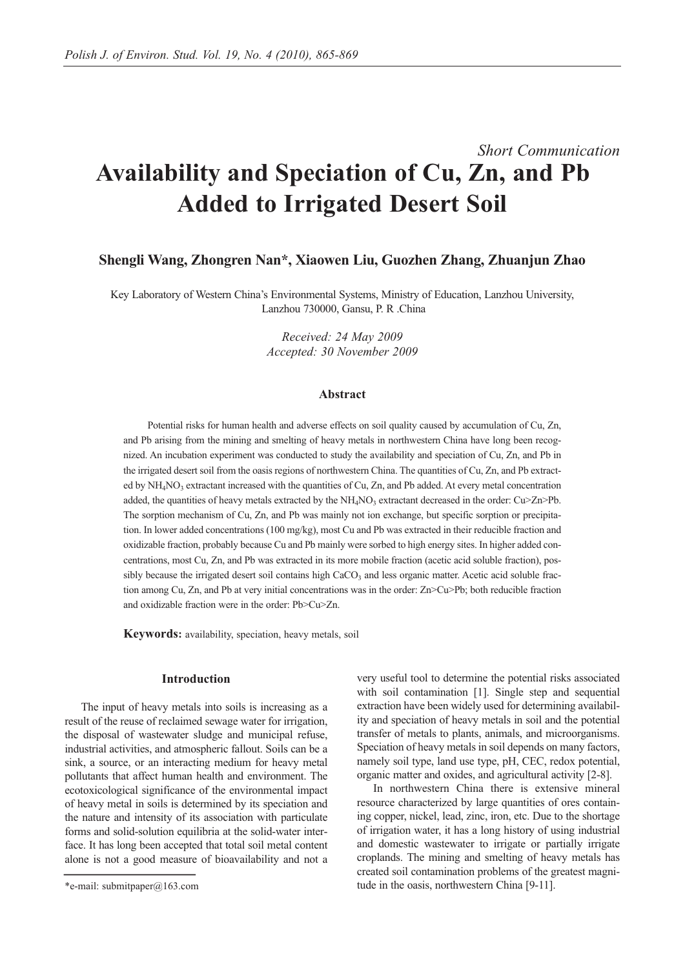# *Short Communication* **Availability and Speciation of Cu, Zn, and Pb Added to Irrigated Desert Soil**

# **Shengli Wang, Zhongren Nan\*, Xiaowen Liu, Guozhen Zhang, Zhuanjun Zhao**

Key Laboratory of Western China's Environmental Systems, Ministry of Education, Lanzhou University, Lanzhou 730000, Gansu, P. R .China

> *Received: 24 May 2009 Accepted: 30 November 2009*

## **Abstract**

Potential risks for human health and adverse effects on soil quality caused by accumulation of Cu, Zn, and Pb arising from the mining and smelting of heavy metals in northwestern China have long been recognized. An incubation experiment was conducted to study the availability and speciation of Cu, Zn, and Pb in the irrigated desert soil from the oasis regions of northwestern China. The quantities of Cu, Zn, and Pb extracted by  $NH<sub>4</sub>NO<sub>3</sub>$  extractant increased with the quantities of Cu, Zn, and Pb added. At every metal concentration added, the quantities of heavy metals extracted by the  $NH<sub>4</sub>NO<sub>3</sub>$  extractant decreased in the order: Cu $\geq$ Zn $\geq$ Pb. The sorption mechanism of Cu, Zn, and Pb was mainly not ion exchange, but specific sorption or precipitation. In lower added concentrations (100 mg/kg), most Cu and Pb was extracted in their reducible fraction and oxidizable fraction, probably because Cu and Pb mainly were sorbed to high energy sites. In higher added concentrations, most Cu, Zn, and Pb was extracted in its more mobile fraction (acetic acid soluble fraction), possibly because the irrigated desert soil contains high  $CaCO<sub>3</sub>$  and less organic matter. Acetic acid soluble fraction among Cu, Zn, and Pb at very initial concentrations was in the order: Zn>Cu>Pb; both reducible fraction and oxidizable fraction were in the order: Pb>Cu>Zn.

**Keywords:** availability, speciation, heavy metals, soil

## **Introduction**

The input of heavy metals into soils is increasing as a result of the reuse of reclaimed sewage water for irrigation, the disposal of wastewater sludge and municipal refuse, industrial activities, and atmospheric fallout. Soils can be a sink, a source, or an interacting medium for heavy metal pollutants that affect human health and environment. The ecotoxicological significance of the environmental impact of heavy metal in soils is determined by its speciation and the nature and intensity of its association with particulate forms and solid-solution equilibria at the solid-water interface. It has long been accepted that total soil metal content alone is not a good measure of bioavailability and not a

very useful tool to determine the potential risks associated with soil contamination [1]. Single step and sequential extraction have been widely used for determining availability and speciation of heavy metals in soil and the potential transfer of metals to plants, animals, and microorganisms. Speciation of heavy metals in soil depends on many factors, namely soil type, land use type, pH, CEC, redox potential, organic matter and oxides, and agricultural activity [2-8].

In northwestern China there is extensive mineral resource characterized by large quantities of ores containing copper, nickel, lead, zinc, iron, etc. Due to the shortage of irrigation water, it has a long history of using industrial and domestic wastewater to irrigate or partially irrigate croplands. The mining and smelting of heavy metals has created soil contamination problems of the greatest magnitude in the oasis, northwestern China [9-11].

<sup>\*</sup>e-mail: submitpaper@163.com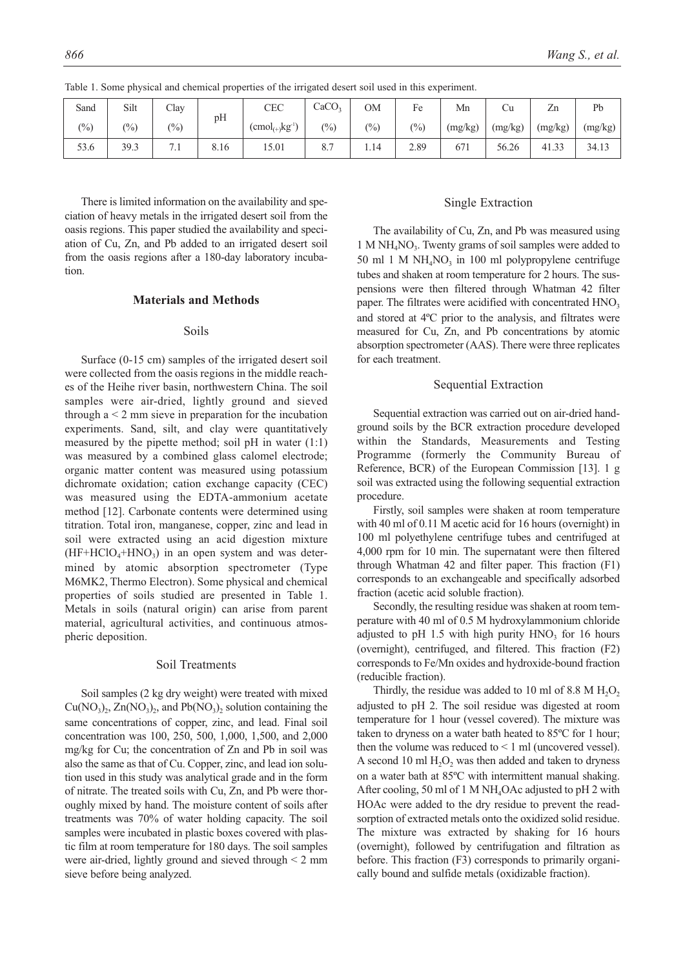| Sand  | Silt            | Clay                 | pH   | CEC                                | CaCO <sub>3</sub> | OМ    | Fe    | Mn      | Сu      | Zn      | Pb      |
|-------|-----------------|----------------------|------|------------------------------------|-------------------|-------|-------|---------|---------|---------|---------|
| (0/0) | $\frac{(0)}{0}$ | $\frac{(0)}{0}$      |      | $(\text{cmol}_{(+)}\text{kg}^{1})$ | (0/0)             | (0/0) | (0/0) | (mg/kg) | (mg/kg) | (mg/kg) | (mg/kg) |
| 53.6  | 39.3            | $\mathbf{r}$<br>/. l | 8.16 | 15.01                              | 8.7               | 1.14  | 2.89  | 671     | 56.26   | 41.33   | 34.13   |

Table 1. Some physical and chemical properties of the irrigated desert soil used in this experiment.

There is limited information on the availability and speciation of heavy metals in the irrigated desert soil from the oasis regions. This paper studied the availability and speciation of Cu, Zn, and Pb added to an irrigated desert soil from the oasis regions after a 180-day laboratory incubation.

## **Materials and Methods**

#### Soils

Surface (0-15 cm) samples of the irrigated desert soil were collected from the oasis regions in the middle reaches of the Heihe river basin, northwestern China. The soil samples were air-dried, lightly ground and sieved through  $a < 2$  mm sieve in preparation for the incubation experiments. Sand, silt, and clay were quantitatively measured by the pipette method; soil pH in water (1:1) was measured by a combined glass calomel electrode; organic matter content was measured using potassium dichromate oxidation; cation exchange capacity (CEC) was measured using the EDTA-ammonium acetate method [12]. Carbonate contents were determined using titration. Total iron, manganese, copper, zinc and lead in soil were extracted using an acid digestion mixture  $(HF+HClO<sub>4</sub>+HNO<sub>3</sub>)$  in an open system and was determined by atomic absorption spectrometer (Type M6MK2, Thermo Electron). Some physical and chemical properties of soils studied are presented in Table 1. Metals in soils (natural origin) can arise from parent material, agricultural activities, and continuous atmospheric deposition.

#### Soil Treatments

Soil samples (2 kg dry weight) were treated with mixed  $Cu(NO<sub>3</sub>)<sub>2</sub>$ ,  $Zn(NO<sub>3</sub>)<sub>2</sub>$ , and  $Pb(NO<sub>3</sub>)<sub>2</sub>$  solution containing the same concentrations of copper, zinc, and lead. Final soil concentration was 100, 250, 500, 1,000, 1,500, and 2,000 mg/kg for Cu; the concentration of Zn and Pb in soil was also the same as that of Cu. Copper, zinc, and lead ion solution used in this study was analytical grade and in the form of nitrate. The treated soils with Cu, Zn, and Pb were thoroughly mixed by hand. The moisture content of soils after treatments was 70% of water holding capacity. The soil samples were incubated in plastic boxes covered with plastic film at room temperature for 180 days. The soil samples were air-dried, lightly ground and sieved through < 2 mm sieve before being analyzed.

## Single Extraction

The availability of Cu, Zn, and Pb was measured using  $1 M NH<sub>4</sub>NO<sub>3</sub>$ . Twenty grams of soil samples were added to 50 ml 1 M  $NH_4NO_3$  in 100 ml polypropylene centrifuge tubes and shaken at room temperature for 2 hours. The suspensions were then filtered through Whatman 42 filter paper. The filtrates were acidified with concentrated  $HNO<sub>3</sub>$ and stored at 4ºC prior to the analysis, and filtrates were measured for Cu, Zn, and Pb concentrations by atomic absorption spectrometer (AAS). There were three replicates for each treatment.

## Sequential Extraction

Sequential extraction was carried out on air-dried handground soils by the BCR extraction procedure developed within the Standards, Measurements and Testing Programme (formerly the Community Bureau of Reference, BCR) of the European Commission [13]. 1 g soil was extracted using the following sequential extraction procedure.

Firstly, soil samples were shaken at room temperature with 40 ml of 0.11 M acetic acid for 16 hours (overnight) in 100 ml polyethylene centrifuge tubes and centrifuged at 4,000 rpm for 10 min. The supernatant were then filtered through Whatman 42 and filter paper. This fraction (F1) corresponds to an exchangeable and specifically adsorbed fraction (acetic acid soluble fraction).

Secondly, the resulting residue was shaken at room temperature with 40 ml of 0.5 M hydroxylammonium chloride adjusted to pH 1.5 with high purity  $HNO<sub>3</sub>$  for 16 hours (overnight), centrifuged, and filtered. This fraction (F2) corresponds to Fe/Mn oxides and hydroxide-bound fraction (reducible fraction).

Thirdly, the residue was added to 10 ml of 8.8 M  $H_2O_2$ adjusted to pH 2. The soil residue was digested at room temperature for 1 hour (vessel covered). The mixture was taken to dryness on a water bath heated to 85ºC for 1 hour; then the volume was reduced to  $\leq 1$  ml (uncovered vessel). A second 10 ml  $H_2O_2$  was then added and taken to dryness on a water bath at 85ºC with intermittent manual shaking. After cooling, 50 ml of 1 M NH<sub>4</sub>OAc adjusted to pH 2 with HOAc were added to the dry residue to prevent the readsorption of extracted metals onto the oxidized solid residue. The mixture was extracted by shaking for 16 hours (overnight), followed by centrifugation and filtration as before. This fraction (F3) corresponds to primarily organically bound and sulfide metals (oxidizable fraction).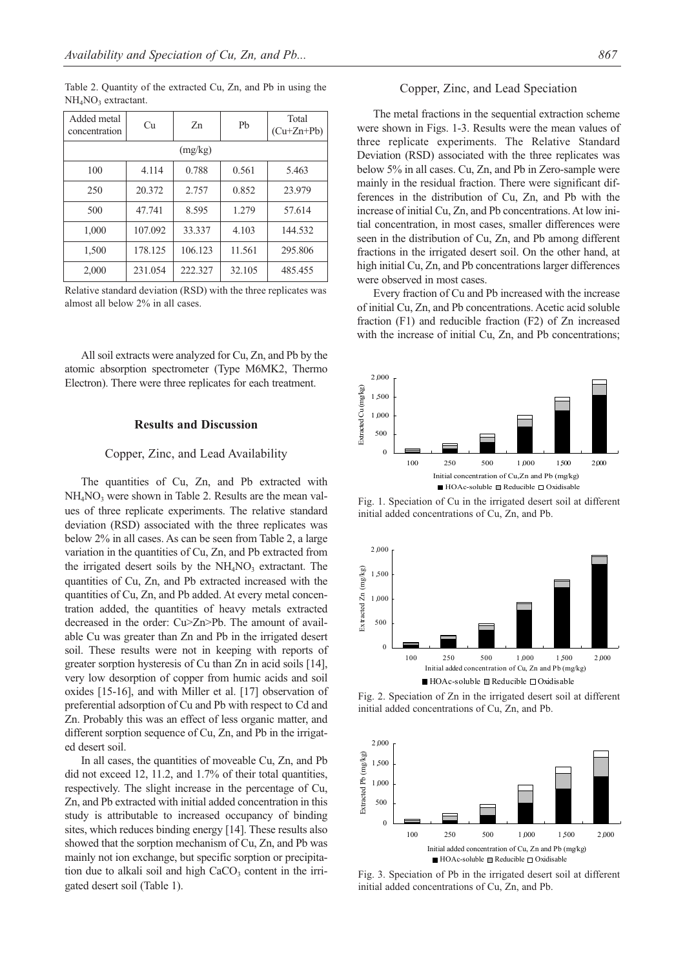Table 2. Quantity of the extracted Cu, Zn, and Pb in using the  $NH<sub>4</sub>NO<sub>3</sub>$  extractant.

| Added metal<br>concentration | Сu      | Zn      | P <sub>b</sub> | Total<br>$(Cu+Zn+Pb)$ |  |  |  |  |  |
|------------------------------|---------|---------|----------------|-----------------------|--|--|--|--|--|
| (mg/kg)                      |         |         |                |                       |  |  |  |  |  |
| 100                          | 4.114   | 0.788   | 0.561          | 5.463                 |  |  |  |  |  |
| 250                          | 20.372  | 2.757   | 0.852          | 23.979                |  |  |  |  |  |
| 500                          | 47.741  | 8.595   | 1.279          | 57.614                |  |  |  |  |  |
| 1,000                        | 107.092 | 33.337  | 4.103          | 144.532               |  |  |  |  |  |
| 1,500                        | 178.125 | 106.123 | 11.561         | 295.806               |  |  |  |  |  |
| 2,000                        | 231.054 | 222.327 | 32.105         | 485.455               |  |  |  |  |  |

Relative standard deviation (RSD) with the three replicates was almost all below 2% in all cases.

All soil extracts were analyzed for Cu, Zn, and Pb by the atomic absorption spectrometer (Type M6MK2, Thermo Electron). There were three replicates for each treatment.

## **Results and Discussion**

#### Copper, Zinc, and Lead Availability

The quantities of Cu, Zn, and Pb extracted with  $NH<sub>4</sub>NO<sub>3</sub>$  were shown in Table 2. Results are the mean values of three replicate experiments. The relative standard deviation (RSD) associated with the three replicates was below 2% in all cases. As can be seen from Table 2, a large variation in the quantities of Cu, Zn, and Pb extracted from the irrigated desert soils by the  $NH<sub>4</sub>NO<sub>3</sub>$  extractant. The quantities of Cu, Zn, and Pb extracted increased with the quantities of Cu, Zn, and Pb added. At every metal concentration added, the quantities of heavy metals extracted decreased in the order: Cu>Zn>Pb. The amount of available Cu was greater than Zn and Pb in the irrigated desert soil. These results were not in keeping with reports of greater sorption hysteresis of Cu than Zn in acid soils [14], very low desorption of copper from humic acids and soil oxides [15-16], and with Miller et al. [17] observation of preferential adsorption of Cu and Pb with respect to Cd and Zn. Probably this was an effect of less organic matter, and different sorption sequence of Cu, Zn, and Pb in the irrigated desert soil.

In all cases, the quantities of moveable Cu, Zn, and Pb did not exceed 12, 11.2, and 1.7% of their total quantities, respectively. The slight increase in the percentage of Cu, Zn, and Pb extracted with initial added concentration in this study is attributable to increased occupancy of binding sites, which reduces binding energy [14]. These results also showed that the sorption mechanism of Cu, Zn, and Pb was mainly not ion exchange, but specific sorption or precipitation due to alkali soil and high  $CaCO<sub>3</sub>$  content in the irrigated desert soil (Table 1).

#### Copper, Zinc, and Lead Speciation

The metal fractions in the sequential extraction scheme were shown in Figs. 1-3. Results were the mean values of three replicate experiments. The Relative Standard Deviation (RSD) associated with the three replicates was below 5% in all cases. Cu, Zn, and Pb in Zero-sample were mainly in the residual fraction. There were significant differences in the distribution of Cu, Zn, and Pb with the increase of initial Cu, Zn, and Pb concentrations. At low initial concentration, in most cases, smaller differences were seen in the distribution of Cu, Zn, and Pb among different fractions in the irrigated desert soil. On the other hand, at high initial Cu, Zn, and Pb concentrations larger differences were observed in most cases.

Every fraction of Cu and Pb increased with the increase of initial Cu, Zn, and Pb concentrations. Acetic acid soluble fraction (F1) and reducible fraction (F2) of Zn increased with the increase of initial Cu, Zn, and Pb concentrations;



Fig. 1. Speciation of Cu in the irrigated desert soil at different initial added concentrations of Cu, Zn, and Pb.



Fig. 2. Speciation of Zn in the irrigated desert soil at different initial added concentrations of Cu, Zn, and Pb.



Fig. 3. Speciation of Pb in the irrigated desert soil at different initial added concentrations of Cu, Zn, and Pb.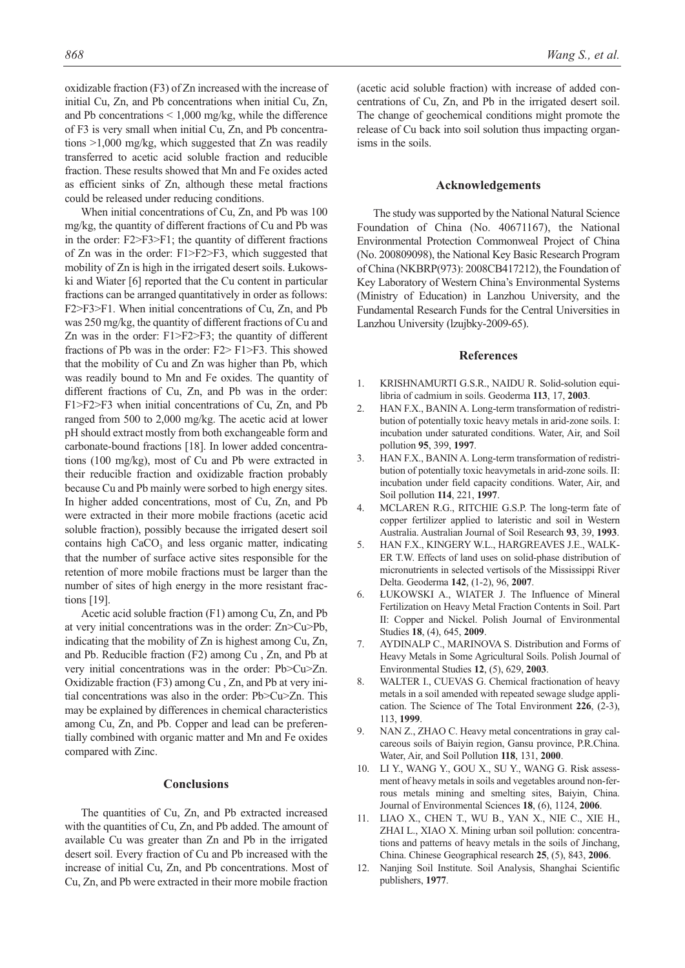oxidizable fraction (F3) of Zn increased with the increase of initial Cu, Zn, and Pb concentrations when initial Cu, Zn, and Pb concentrations < 1,000 mg/kg, while the difference of F3 is very small when initial Cu, Zn, and Pb concentrations >1,000 mg/kg, which suggested that Zn was readily transferred to acetic acid soluble fraction and reducible fraction. These results showed that Mn and Fe oxides acted as efficient sinks of Zn, although these metal fractions could be released under reducing conditions.

When initial concentrations of Cu, Zn, and Pb was 100 mg/kg, the quantity of different fractions of Cu and Pb was in the order: F2>F3>F1; the quantity of different fractions of Zn was in the order: F1>F2>F3, which suggested that mobility of Zn is high in the irrigated desert soils. Łukowski and Wiater [6] reported that the Cu content in particular fractions can be arranged quantitatively in order as follows: F2>F3>F1. When initial concentrations of Cu, Zn, and Pb was 250 mg/kg, the quantity of different fractions of Cu and Zn was in the order: F1>F2>F3; the quantity of different fractions of Pb was in the order: F2> F1>F3. This showed that the mobility of Cu and Zn was higher than Pb, which was readily bound to Mn and Fe oxides. The quantity of different fractions of Cu, Zn, and Pb was in the order: F1>F2>F3 when initial concentrations of Cu, Zn, and Pb ranged from 500 to 2,000 mg/kg. The acetic acid at lower pH should extract mostly from both exchangeable form and carbonate-bound fractions [18]. In lower added concentrations (100 mg/kg), most of Cu and Pb were extracted in their reducible fraction and oxidizable fraction probably because Cu and Pb mainly were sorbed to high energy sites. In higher added concentrations, most of Cu, Zn, and Pb were extracted in their more mobile fractions (acetic acid soluble fraction), possibly because the irrigated desert soil contains high  $CaCO<sub>3</sub>$  and less organic matter, indicating that the number of surface active sites responsible for the retention of more mobile fractions must be larger than the number of sites of high energy in the more resistant fractions [19].

Acetic acid soluble fraction (F1) among Cu, Zn, and Pb at very initial concentrations was in the order: Zn>Cu>Pb, indicating that the mobility of Zn is highest among Cu, Zn, and Pb. Reducible fraction (F2) among Cu , Zn, and Pb at very initial concentrations was in the order: Pb>Cu>Zn. Oxidizable fraction (F3) among Cu , Zn, and Pb at very initial concentrations was also in the order: Pb>Cu>Zn. This may be explained by differences in chemical characteristics among Cu, Zn, and Pb. Copper and lead can be preferentially combined with organic matter and Mn and Fe oxides compared with Zinc.

## **Conclusions**

The quantities of Cu, Zn, and Pb extracted increased with the quantities of Cu, Zn, and Pb added. The amount of available Cu was greater than Zn and Pb in the irrigated desert soil. Every fraction of Cu and Pb increased with the increase of initial Cu, Zn, and Pb concentrations. Most of Cu, Zn, and Pb were extracted in their more mobile fraction

(acetic acid soluble fraction) with increase of added concentrations of Cu, Zn, and Pb in the irrigated desert soil. The change of geochemical conditions might promote the release of Cu back into soil solution thus impacting organisms in the soils.

#### **Acknowledgements**

The study was supported by the National Natural Science Foundation of China (No. 40671167), the National Environmental Protection Commonweal Project of China (No. 200809098), the National Key Basic Research Program of China (NKBRP(973): 2008CB417212), the Foundation of Key Laboratory of Western China's Environmental Systems (Ministry of Education) in Lanzhou University, and the Fundamental Research Funds for the Central Universities in Lanzhou University (lzujbky-2009-65).

#### **References**

- 1. KRISHNAMURTI G.S.R., NAIDU R. Solid-solution equilibria of cadmium in soils. Geoderma **113**, 17, **2003**.
- 2. HAN F.X., BANIN A. Long-term transformation of redistribution of potentially toxic heavy metals in arid-zone soils. I: incubation under saturated conditions. Water, Air, and Soil pollution **95**, 399, **1997**.
- 3. HAN F.X., BANIN A. Long-term transformation of redistribution of potentially toxic heavymetals in arid-zone soils. II: incubation under field capacity conditions. Water, Air, and Soil pollution **114**, 221, **1997**.
- 4. MCLAREN R.G., RITCHIE G.S.P. The long-term fate of copper fertilizer applied to lateristic and soil in Western Australia. Australian Journal of Soil Research **93**, 39, **1993**.
- 5. HAN F.X., KINGERY W.L., HARGREAVES J.E., WALK-ER T.W. Effects of land uses on solid-phase distribution of micronutrients in selected vertisols of the Mississippi River Delta. Geoderma **142**, (1-2), 96, **2007**.
- 6. ŁUKOWSKI A., WIATER J. The Influence of Mineral Fertilization on Heavy Metal Fraction Contents in Soil. Part II: Copper and Nickel. Polish Journal of Environmental Studies **18**, (4), 645, **2009**.
- 7. AYDINALP C., MARINOVA S. Distribution and Forms of Heavy Metals in Some Agricultural Soils. Polish Journal of Environmental Studies **12**, (5), 629, **2003**.
- 8. WALTER I., CUEVAS G. Chemical fractionation of heavy metals in a soil amended with repeated sewage sludge application. The Science of The Total Environment **226**, (2-3), 113, **1999**.
- 9. NAN Z., ZHAO C. Heavy metal concentrations in gray calcareous soils of Baiyin region, Gansu province, P.R.China. Water, Air, and Soil Pollution **118**, 131, **2000**.
- 10. LI Y., WANG Y., GOU X., SU Y., WANG G. Risk assessment of heavy metals in soils and vegetables around non-ferrous metals mining and smelting sites, Baiyin, China. Journal of Environmental Sciences **18**, (6), 1124, **2006**.
- 11. LIAO X., CHEN T., WU B., YAN X., NIE C., XIE H., ZHAI L., XIAO X. Mining urban soil pollution: concentrations and patterns of heavy metals in the soils of Jinchang, China. Chinese Geographical research **25**, (5), 843, **2006**.
- 12. Nanjing Soil Institute. Soil Analysis, Shanghai Scientific publishers, **1977**.